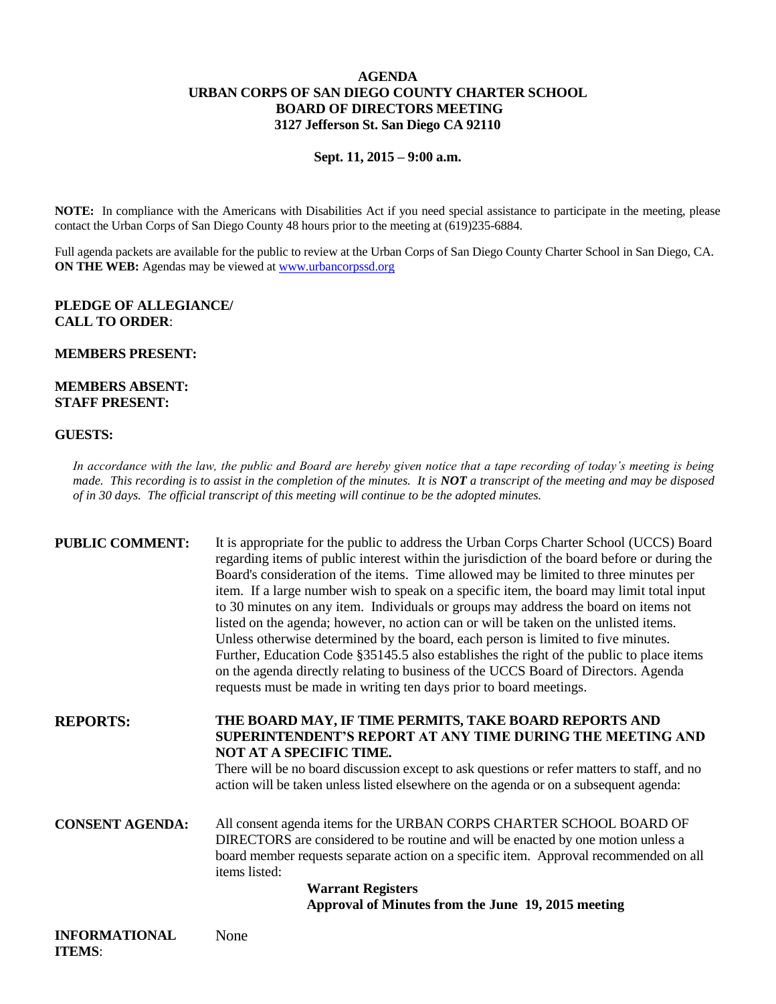## **AGENDA URBAN CORPS OF SAN DIEGO COUNTY CHARTER SCHOOL BOARD OF DIRECTORS MEETING 3127 Jefferson St. San Diego CA 92110**

**Sept. 11, 2015 – 9:00 a.m.**

**NOTE:** In compliance with the Americans with Disabilities Act if you need special assistance to participate in the meeting, please contact the Urban Corps of San Diego County 48 hours prior to the meeting at (619)235-6884.

Full agenda packets are available for the public to review at the Urban Corps of San Diego County Charter School in San Diego, CA. **ON THE WEB:** Agendas may be viewed at [www.urbancorpssd.org](http://www.urbancorpssd.org/)

# **PLEDGE OF ALLEGIANCE/ CALL TO ORDER**:

### **MEMBERS PRESENT:**

## **MEMBERS ABSENT: STAFF PRESENT:**

### **GUESTS:**

*In accordance with the law, the public and Board are hereby given notice that a tape recording of today's meeting is being made. This recording is to assist in the completion of the minutes. It is NOT a transcript of the meeting and may be disposed of in 30 days. The official transcript of this meeting will continue to be the adopted minutes.*

| <b>PUBLIC COMMENT:</b> | It is appropriate for the public to address the Urban Corps Charter School (UCCS) Board<br>regarding items of public interest within the jurisdiction of the board before or during the<br>Board's consideration of the items. Time allowed may be limited to three minutes per<br>item. If a large number wish to speak on a specific item, the board may limit total input<br>to 30 minutes on any item. Individuals or groups may address the board on items not<br>listed on the agenda; however, no action can or will be taken on the unlisted items.<br>Unless otherwise determined by the board, each person is limited to five minutes.<br>Further, Education Code §35145.5 also establishes the right of the public to place items<br>on the agenda directly relating to business of the UCCS Board of Directors. Agenda<br>requests must be made in writing ten days prior to board meetings. |
|------------------------|----------------------------------------------------------------------------------------------------------------------------------------------------------------------------------------------------------------------------------------------------------------------------------------------------------------------------------------------------------------------------------------------------------------------------------------------------------------------------------------------------------------------------------------------------------------------------------------------------------------------------------------------------------------------------------------------------------------------------------------------------------------------------------------------------------------------------------------------------------------------------------------------------------|
| <b>REPORTS:</b>        | THE BOARD MAY, IF TIME PERMITS, TAKE BOARD REPORTS AND<br><b>SUPERINTENDENT'S REPORT AT ANY TIME DURING THE MEETING AND</b><br>NOT AT A SPECIFIC TIME.<br>There will be no board discussion except to ask questions or refer matters to staff, and no<br>action will be taken unless listed elsewhere on the agenda or on a subsequent agenda:                                                                                                                                                                                                                                                                                                                                                                                                                                                                                                                                                           |
| <b>CONSENT AGENDA:</b> | All consent agenda items for the URBAN CORPS CHARTER SCHOOL BOARD OF<br>DIRECTORS are considered to be routine and will be enacted by one motion unless a<br>board member requests separate action on a specific item. Approval recommended on all<br>items listed:                                                                                                                                                                                                                                                                                                                                                                                                                                                                                                                                                                                                                                      |

**Warrant Registers Approval of Minutes from the June 19, 2015 meeting**